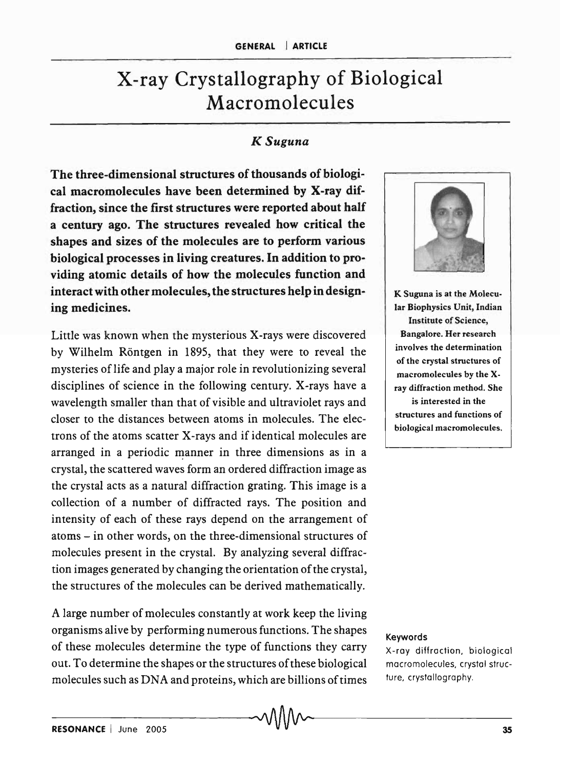# X-ray Crystallography of Biological Macromolecules

#### *K Suguna*

The three-dimensional structures of thousands of biological macromolecules have been determined by X-ray diffraction, since the first structures were reported about half a century ago. The structures revealed how critical the shapes and sizes of the molecules are to perform various biological processes in living creatures. In addition to providing atomic details of how the molecules function and interact with other molecules, the structures help in designing medicines.

Little was known when the mysterious X-rays were discovered by Wilhelm Röntgen in 1895, that they were to reveal the mysteries of life and playa major role in revolutionizing several disciplines of science in the following century. X-rays have a wavelength smaller than that of visible and ultraviolet rays and closer to the distances between atoms in molecules. The electrons of the atoms scatter X-rays and if identical molecules are arranged in a periodic manner in three dimensions as in a crystal, the scattered waves form an ordered diffraction image as the crystal acts as a natural diffraction grating. This image is a collection of a number of diffracted rays. The position and intensity of each of these rays depend on the arrangement of atoms - in other words, on the three-dimensional structures of molecules present in the crystal. By analyzing several diffraction images generated by changing the orientation of the crystal, the structures of the molecules can be derived mathematically.

A large number of molecules constantly at work keep the living organisms alive by performing numerous functions. The shapes of these molecules determine the type of functions they carry out. To determine the shapes or the structures of these biological molecules such as DNA and proteins, which are billions of times



K Suguna is at the Molecular Biophysics Unit, Indian Institute of Science, Bangalore. Her research involves the determination of the crystal structures of macromolecules by the Xray diffraction method. She is interested in the structures and functions of biological macromolecules.

#### Keywords

X-roy diffraction, biological macromolecules, crystal structure, crystallography.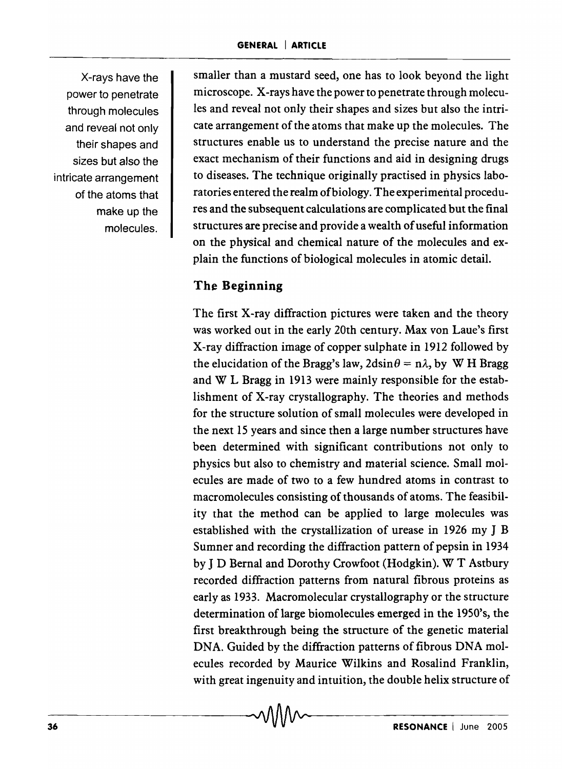X-rays have the power to penetrate through molecules and reveal not only their shapes and sizes but also the intricate arrangement of the atoms that make up the molecules.

smaller than a mustard seed, one has to look beyond the light microscope. X-rays have the power to penetrate through molecules and reveal not only their shapes and sizes but also the intricate arrangement of the atoms that make up the molecules. The structures enable us to understand the precise nature and the exact mechanism of their functions and aid in designing drugs to diseases. The technique originally practised in physics laboratories entered the realm of biology. The experimental procedures and the subsequent calculations are complicated but the final structures are precise and provide a wealth of useful information on the physical and chemical nature of the molecules and explain the functions of biological molecules in atomic detail.

# **The Beginning**

The first X-ray diffraction pictures were taken and the theory was worked out in the early 20th century. Max von Laue's first X-ray diffraction image of copper sulphate in 1912 followed by the elucidation of the Bragg's law,  $2\text{dsin}\theta = n\lambda$ , by W H Bragg and W L Bragg in 1913 were mainly responsible for the establishment of X-ray crystallography. The theories and methods for the structure solution of small molecules were developed in the next 15 years and since then a large number structures have been determined with significant contributions not only to physics but also to chemistry and material science. Small molecules are made of two to a few hundred atoms in contrast to macromolecules consisting of thousands of atoms. The feasibility that the method can be applied to large molecules was established with the crystallization of urease in 1926 my J B Sumner and recording the diffraction pattern of pepsin in 1934 by J D Bernal and Dorothy Crowfoot (Hodgkin). W T Astbury recorded diffraction patterns from natural fibrous proteins as early as 1933. Macromolecular crystallography or the structure determination of large biomolecules emerged in the 1950's, the first breakthrough being the structure of the genetic material DNA. Guided by the diffraction patterns of fibrous DNA molecules recorded by Maurice Wilkins and Rosalind Franklin, with great ingenuity and intuition, the double helix structure of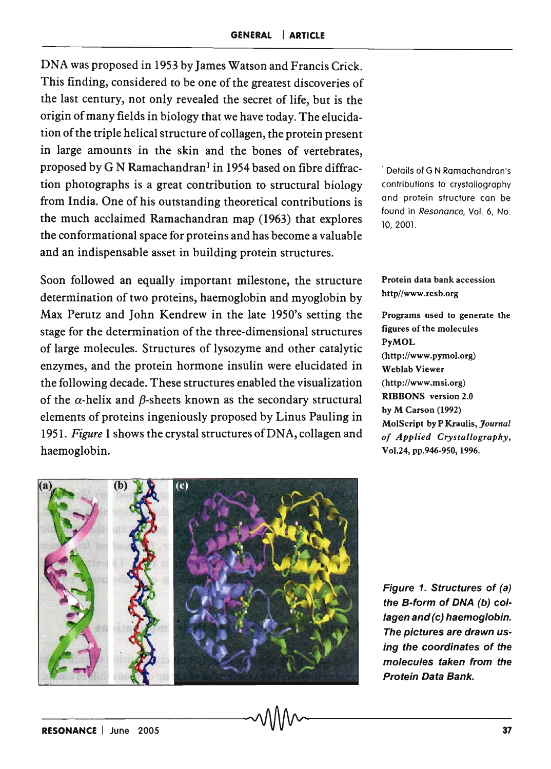DNA was proposed in 1953 by James Watson and Francis Crick. This finding, considered to be one of the greatest discoveries of the last century, not only revealed the secret of life, but is the origin of many fields in biology that we have today. The elucidation of the triple helical structure of collagen, the protein present in large amounts in the skin and the bones of vertebrates, proposed by G N Ramachandran<sup>1</sup> in 1954 based on fibre diffraction photographs is a great contribution to structural biology from India. One of his outstanding theoretical contributions is the much acclaimed Ramachandran map (1963) that explores the conformational space for proteins and has become a valuable and an indispensable asset in building protein structures.

Soon followed an equally important milestone, the structure determination of two proteins, haemoglobin and myoglobin by Max Perutz and John Kendrew in the late 1950's setting the stage for the determination of the three-dimensional structures of large molecules. Structures of lysozyme and other catalytic enzymes, and the protein hormone insulin were elucidated in the following decade. These structures enabled the visualization of the  $\alpha$ -helix and  $\beta$ -sheets known as the secondary structural elements of proteins ingeniously proposed by Linus Pauling in 1951. *Figure* 1 shows the crystal structures of DNA, collagen and haemoglobin.

1 Details of G N Ramachandran's contributions to crystallography and protein structure can be found in Resonance, Vol. 6, No. 10, 2001.

Protein data bank accession http//www.rcsb.org

Programs used to generate the figures of the molecules PyMOL (http://www .pymol.org) Weblab Viewer (http://www.msi.org) RIBBONS version 2.0 by M Carson (1992) MolScript by P Kraulis, *Journal of Applied Crystallography,*  Vo1.24, pp.946-950, 1996.



Figure 1. Structures of (a) the B-form of DNA (b) collagen and (c) haemoglobin. The pictures are drawn using the coordinates of the molecules taken from the Protein Data Bank.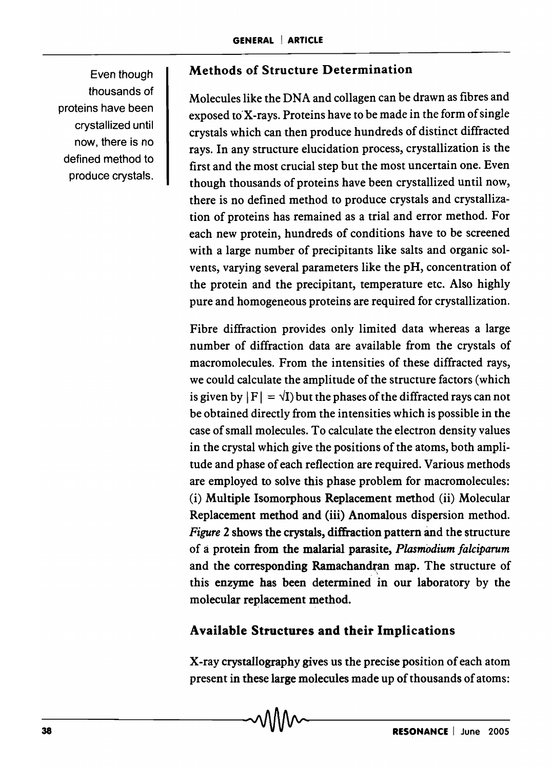Even though thousands of proteins have been crystallized until now, there is no defined method to produce crystals.

# Methods of Structure Determination

Molecules like the DNA and collagen can be drawn as fibres and exposed to X-rays. Proteins have to be made in the form of single crystals which can then produce hundreds of distinct diffracted rays. In any structure elucidation process, crystallization is the first and the most crucial step but the most uncertain one. Even though thousands of proteins have been crystallized until now, there is no defined method to produce crystals and crystallization of proteins has remained as a trial and error method. For each new protein, hundreds of conditions have to be screened with a large number of precipitants like salts and organic solvents, varying several parameters like the pH, concentration of the protein and the precipitant, temperature etc. Also highly pure and homogeneous proteins are required for crystallization.

Fibre diffraction provides only limited data whereas a large number of diffraction data are available from the crystals of macromolecules. From the intensities of these diffracted rays, we could calculate the amplitude of the structure factors (which is given by  $|F| = \sqrt{I}$ ) but the phases of the diffracted rays can not be obtained directly from the intensities which is possible in the case of small molecules. To calculate the electron density values in the crystal which give the positions of the atoms, both amplitude and phase of each reflection are required. Various methods are employed to solve this phase problem for macromolecules: (i) Multiple Isomorphous Replacement method (ii) Molecular Replacement method and (iii) Anomalous dispersion method. *Figure* 2 shows the crystals, diffraction pattern and the structure of a protein from the malarial parasite, *Plasmodium falciparum*  and the corresponding Ramachandran map. The structure of this enzyme has been determined in our laboratory by the molecular replacement method.

### Available Structures and their Implications

X-ray crystallography gives us the precise position of each atom present in these large molecules made up of thousands of atoms: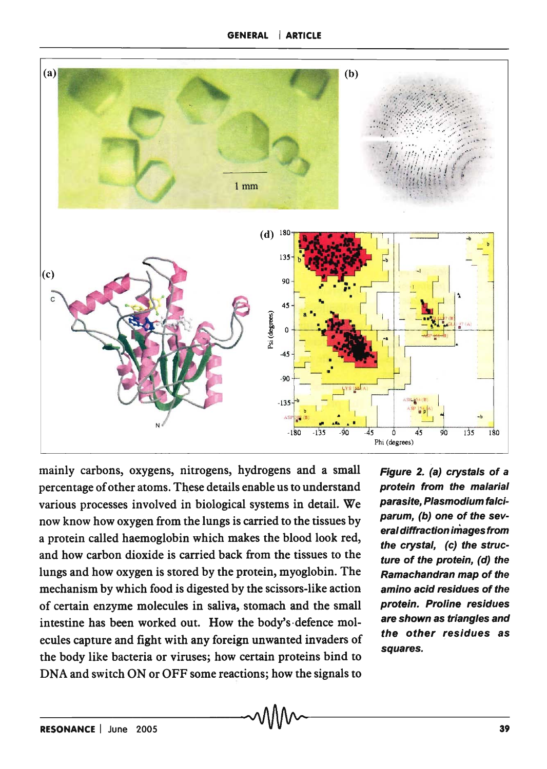

mainly carbons, oxygens, nitrogens, hydrogens and a small percentage of other atoms. These details enable us to understand various processes involved in biological systems in detail. We now know how oxygen from the lungs is carried to the tissues by a protein called haemoglobin which makes the blood look red, and how carbon dioxide is carried back from the tissues to the lungs and how oxygen is stored by the protein, myoglobin. The mechanism by which food is digested by the scissors-like action of certain enzyme molecules in saliva, stomach and the small intestine has been worked out. How the body's·defence molecules capture and fight with any foreign unwanted invaders of the body like bacteria or viruses; how certain proteins bind to DNA and switch ON or OFF some reactions; how the signals to Figure 2. (a) crystals of a protein from the malarial parasite, Plasmodium falciparum, (b) one of the several diffraction images from the crystal, (c) the structure of the protein, (d) the Ramachandran map of the amino acid residues of the protein. Proline residues are shown as triangles and the other residues as squares.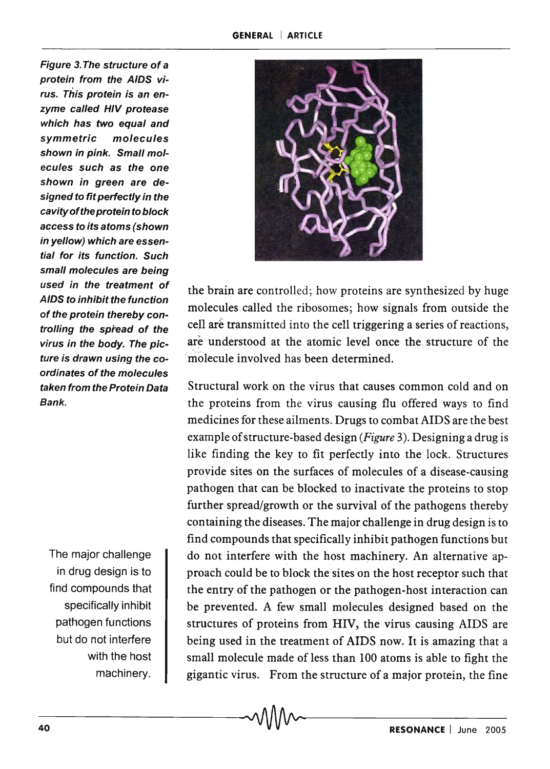Figure 3. The structure of a protein from the AIDS virus. This protein is an enzyme called HIV protease which has two equal and symmetric molecules shown in pink. Small molecules such as the one shown in green are designed to fit perfectly in the cavity of the protein to block access to its atoms (shown in yellow) which are essential for its function. Such small molecules are being used in the treatment of AIDS to inhibit the function of the protein thereby controlling the spread of the virus in the body. The picture is drawn using the coordinates of the molecules taken from the Protein Data Bank.

The major challenge in drug design is to find compounds that specifically inhibit pathogen functions but do not interfere with the host machinery.



the brain are controlled; how proteins are synthesized by huge molecules called the ribosomes; how signals from outside the cell are transmitted into the cell triggering a series of reactions, are understood at the atomic level once the structure of the 'niolecule involved has been determined.

Structural work on the virus that causes common cold and on the proteins from the virus causing flu offered ways to find medicines for these ailments. Drugs to combat AIDS are the best example of structure-based design *(Figure* 3). Designing a drug is like finding the key to fit perfectly into the lock. Structures provide sites on the surfaces of molecules of a disease-causing pathogen that can be blocked to inactivate the proteins to stop further spread/growth or the survival of the pathogens thereby containing the diseases. The major challenge in drug design is to find compounds that specifically inhibit pathogen functions but do not interfere with the host machinery. An alternative approach could be to block the sites on the host receptor such that the entry of the pathogen or the pathogen-host interaction can be prevented. A few small molecules designed based on the structures of proteins from HIV, the virus causing AIDS are being used in the treatment of AIDS now. It is amazing that a small molecule made of less than 100 atoms is able to fight the gigantic virus. From the structure of a major protein, the fine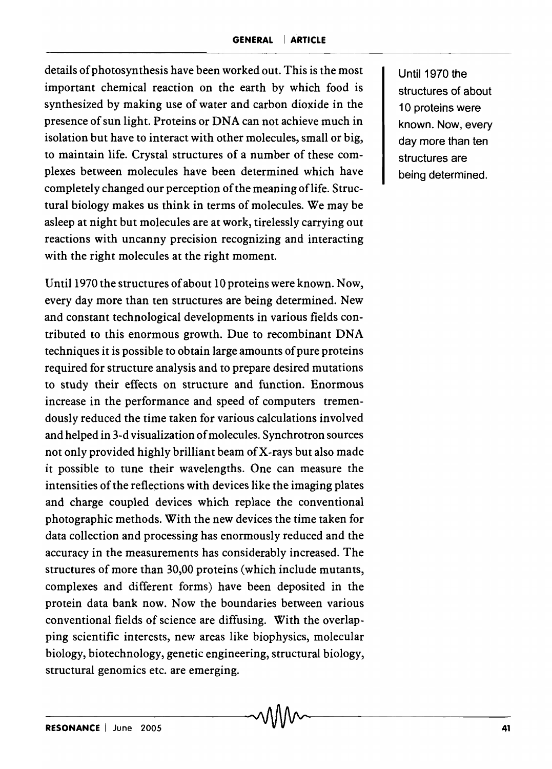details of photosynthesis have been worked out. This is the most important chemical reaction on the earth by which food is synthesized by making use of water and carbon dioxide in the presence of sun light. Proteins or DNA can not achieve much in isolation but have to interact with other molecules, small or big, to maintain life. Crystal structures of a number of these complexes between molecules have been determined which have completely changed our perception of the meaning of life. Structural biology makes us think in terms of molecules. We may be asleep at night but molecules are at work, tirelessly carrying out reactions with uncanny precision recognizing and interacting with the right molecules at the right moment.

Until 1970 the structures of about 10 proteins were known. Now, every day more than ten structures are being determined. New and constant technological developments in various fields contributed to this enormous growth. Due to recombinant DNA techniques it is possible to obtain large amounts of pure proteins required for structure analysis and to prepare desired mutations to study their effects on structure and function. Enormous increase in the performance and speed of computers tremendously reduced the time taken for various calculations involved and helped in 3-d visualization of molecules. Synchrotron sources not only provided highly brilliant beam of X-rays but also made it possible to tune their wavelengths. One can measure the intensities of the reflections with devices like the imaging plates and charge coupled devices which replace the conventional photographic methods. With the new devices the time taken for data collection and processing has enormously reduced and the accuracy in the measurements has considerably increased. The structures of more than 30,00 proteins (which include mutants, complexes and different forms) have been deposited in the protein data bank now. Now the boundaries between various conventional fields of science are diffusing. With the overlapping scientific interests, new areas like biophysics, molecular biology, biotechnology, genetic engineering, structural biology, structural genomics etc. are emerging.

Until 1970 the structures of about 10 proteins were known. Now, every day more than ten structures are being determined.